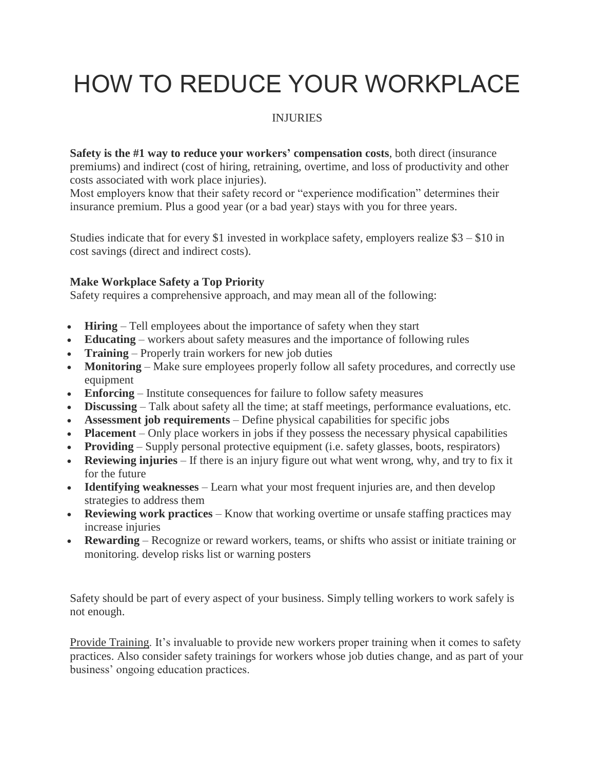## HOW TO REDUCE YOUR WORKPLACE

## INJURIES

**Safety is the #1 way to reduce your workers' compensation costs**, both direct (insurance premiums) and indirect (cost of hiring, retraining, overtime, and loss of productivity and other costs associated with work place injuries).

Most employers know that their safety record or "experience modification" determines their insurance premium. Plus a good year (or a bad year) stays with you for three years.

Studies indicate that for every \$1 invested in workplace safety, employers realize  $$3 - $10$  in cost savings (direct and indirect costs).

## **Make Workplace Safety a Top Priority**

Safety requires a comprehensive approach, and may mean all of the following:

- **Hiring** Tell employees about the importance of safety when they start
- **Educating** workers about safety measures and the importance of following rules
- **Training** Properly train workers for new job duties
- **Monitoring** Make sure employees properly follow all safety procedures, and correctly use equipment
- **Enforcing** Institute consequences for failure to follow safety measures
- **Discussing** Talk about safety all the time; at staff meetings, performance evaluations, etc.
- **Assessment job requirements** Define physical capabilities for specific jobs
- **Placement** Only place workers in jobs if they possess the necessary physical capabilities
- **Providing** Supply personal protective equipment (i.e. safety glasses, boots, respirators)
- **Reviewing injuries** If there is an injury figure out what went wrong, why, and try to fix it for the future
- **Identifying weaknesses** Learn what your most frequent injuries are, and then develop strategies to address them
- **Reviewing work practices** Know that working overtime or unsafe staffing practices may increase injuries
- **Rewarding** Recognize or reward workers, teams, or shifts who assist or initiate training or monitoring. develop risks list or warning posters

Safety should be part of every aspect of your business. Simply telling workers to work safely is not enough.

Provide Training. It's invaluable to provide new workers proper training when it comes to safety practices. Also consider safety trainings for workers whose job duties change, and as part of your business' ongoing education practices.